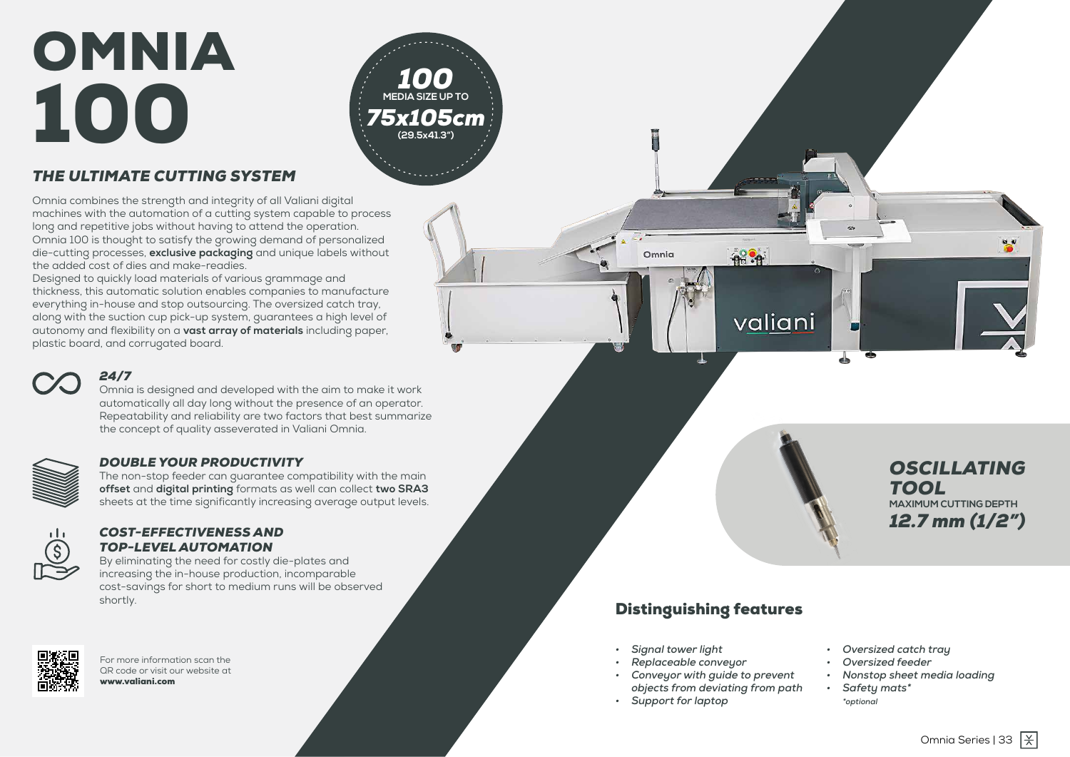32 | Omnia Omnia Series | 33



## *THE ULTIMATE CUTTING SYSTEM*

Omnia combines the strength and integrity of all Valiani digital machines with the automation of a cutting system capable to process long and repetitive jobs without having to attend the operation. Omnia 100 is thought to satisfy the growing demand of personalized die-cutting processes, **exclusive packaging** and unique labels without the added cost of dies and make-readies.

Designed to quickly load materials of various grammage and thickness, this automatic solution enables companies to manufacture everything in-house and stop outsourcing. The oversized catch tray, along with the suction cup pick-up system, guarantees a high level of autonomy and flexibility on a **vast array of materials** including paper, plastic board, and corrugated board.



#### *24/7*

Omnia is designed and developed with the aim to make it work automatically all day long without the presence of an operator. Repeatability and reliability are two factors that best summarize the concept of quality asseverated in Valiani Omnia.



#### *DOUBLE YOUR PRODUCTIVITY*

The non-stop feeder can guarantee compatibility with the main **offset** and **digital printing** formats as well can collect **two SRA3** sheets at the time significantly increasing average output levels.



#### *COST-EFFECTIVENESS AND TOP-LEVEL AUTOMATION*

By eliminating the need for costly die-plates and increasing the in-house production, incomparable cost-savings for short to medium runs will be observed shortly.





## Distinguishing features

 $-18.8$ 

Omnia

For more information scan the QR code or visit our website at www.valiani.com

# OMNIA 100



- *• Signal tower light*
- *• Replaceable conveyor*
- *• Conveyor with guide to prevent objects from deviating from path*
- *• Support for laptop*



- *• Oversized catch tray*
- *• Oversized feeder*
- *• Nonstop sheet media loading*
- *• Safety mats\* \*optional*